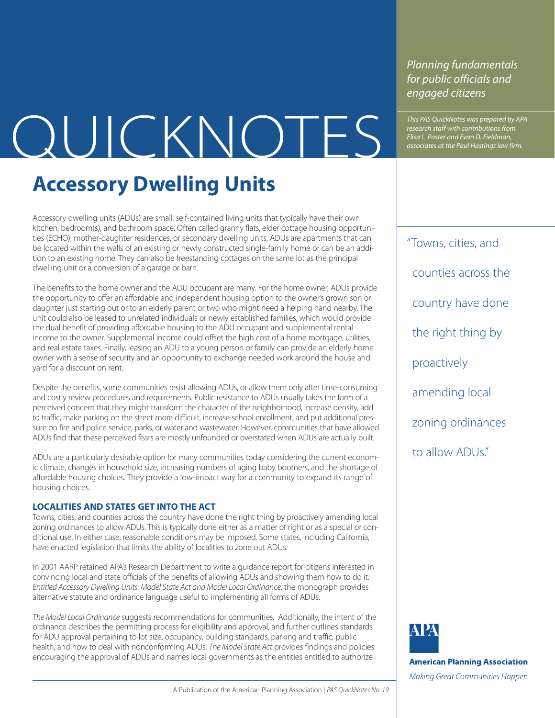# This PAS QuickNotes was prepared by APA<br>
Elisa L. Paster and Evan D. Fieldman,<br>
associates at the Paul Hastings law firm.

### **Accessory Dwelling Units**

Accessory dwelling units (ADUs) are small, self-contained living units that typically have their own kitchen, bedroom(s), and bathroom space. Often called granny flats, elder cottage housing opportunities (ECHO), mother-daughter residences, or secondary dwelling units, ADUs are apartments that can be located within the walls of an existing or newly constructed single-family home or can be an addition to an existing home. They can also be freestanding cottages on the same lot as the principal dwelling unit or a conversion of a garage or barn.

The benefits to the home owner and the ADU occupant are many. For the home owner, ADUs provide the opportunity to offer an affordable and independent housing option to the owner's grown son or daughter just starting out or to an elderly parent or two who might need a helping hand nearby. The unit could also be leased to unrelated individuals or newly established families, which would provide the dual benefit of providing affordable housing to the ADU occupant and supplemental rental income to the owner. Supplemental income could offset the high cost of a home mortgage, utilities, and real estate taxes. Finally, leasing an ADU to a young person or family can provide an elderly home owner with a sense of security and an opportunity to exchange needed work around the house and yard for a discount on rent.

Despite the benefits, some communities resist allowing ADUs, or allow them only after time-consuming and costly review procedures and requirements. Public resistance to ADUs usually takes the form of a perceived concern that they might transform the character of the neighborhood, increase density, add to traffic, make parking on the street more difficult, increase school enrollment, and put additional pressure on fire and police service, parks, or water and wastewater. However, communities that have allowed ADUs find that these perceived fears are mostly unfounded or overstated when ADUs are actually built.

ADUs are a particularly desirable option for many communities today considering the current economic climate, changes in household size, increasing numbers of aging baby boomers, and the shortage of affordable housing choices. They provide a low-impact way for a community to expand its range of housing choices.

### **LOCALITIES AND STATES GET INTO THE ACT**

Towns, cities, and counties across the country have done the right thing by proactively amending local zoning ordinances to allow ADUs. This is typically done either as a matter of right or as a special or conditional use. In either case, reasonable conditions may be imposed. Some states, including California, have enacted legislation that limits the ability of localities to zone out ADUs.

In 2001 AARP retained APA's Research Department to write a guidance report for citizens interested in convincing local and state officials of the benefits of allowing ADUs and showing them how to do it. *Entitled Accessory Dwelling Units: Model State Act and Model Local Ordinance*, the monograph provides alternative statute and ordinance language useful to implementing all forms of ADUs.

*The Model Local Ordinance* suggests recommendations for communities. Additionally, the intent of the ordinance describes the permitting process for eligibility and approval, and further outlines standards for ADU approval pertaining to lot size, occupancy, building standards, parking and traffic, public health, and how to deal with nonconforming ADUs. *The Model State Act* provides findings and policies encouraging the approval of ADUs and names local governments as the entities entitled to authorize

*Planning fundamentals for public officials and engaged citizens*

*research staff with contributions from Elisa L. Paster and Evan D. Fieldman, associates at the Paul Hastings law firm.*

"Towns, cities, and counties across the country have done the right thing by proactively amending local zoning ordinances to allow ADUs"



**American Planning Association** 

Making Great Communities Happen

A Publication of the American Planning Association | *PAS QuickNotes No. 19*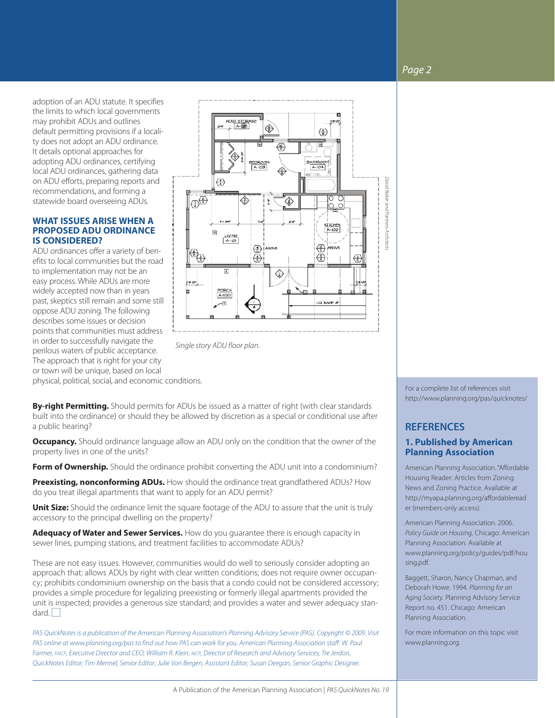### *Page 2*

adoption of an ADU statute. It specifies the limits to which local governments may prohibit ADUs and outlines default permitting provisions if a locality does not adopt an ADU ordinance. It details optional approaches for adopting ADU ordinances, certifying local ADU ordinances, gathering data on ADU efforts, preparing reports and recommendations, and forming a statewide board overseeing ADUs.

#### **WHAT ISSUES ARISE WHEN A PROPOSED ADU ORDINANCE IS CONSIDERED?**

ADU ordinances offer a variety of benefits to local communities but the road to implementation may not be an easy process. While ADUs are more widely accepted now than in years past, skeptics still remain and some still oppose ADU zoning. The following describes some issues or decision points that communities must address in order to successfully navigate the perilous waters of public acceptance. The approach that is right for your city or town will be unique, based on local



*Single story ADU floor plan.*

physical, political, social, and economic conditions.

**By-right Permitting.** Should permits for ADUs be issued as a matter of right (with clear standards built into the ordinance) or should they be allowed by discretion as a special or conditional use after a public hearing?

**Occupancy.** Should ordinance language allow an ADU only on the condition that the owner of the property lives in one of the units?

**Form of Ownership.** Should the ordinance prohibit converting the ADU unit into a condominium?

**Preexisting, nonconforming ADUs.** How should the ordinance treat grandfathered ADUs? How do you treat illegal apartments that want to apply for an ADU permit?

**Unit Size:** Should the ordinance limit the square footage of the ADU to assure that the unit is truly accessory to the principal dwelling on the property?

**Adequacy of Water and Sewer Services.** How do you guarantee there is enough capacity in sewer lines, pumping stations, and treatment facilities to accommodate ADUs?

These are not easy issues. However, communities would do well to seriously consider adopting an approach that: allows ADUs by right with clear written conditions; does not require owner occupancy; prohibits condominium ownership on the basis that a condo could not be considered accessory; provides a simple procedure for legalizing preexisting or formerly illegal apartments provided the unit is inspected; provides a generous size standard; and provides a water and sewer adequacy standard.  $\Box$ 

*PAS QuickNotes is a publication of the American Planning Association's Planning Advisory Service (PAS). Copyright © 2009. Visit PAS online at www.planning.org/pas to find out how PAS can work for you. American Planning Association staff: W. Paul Farmer, FAICP, Executive Director and CEO; William R. Klein, AICP, Director of Research and Advisory Services; Tre Jerdon, QuickNotes Editor; Tim Mennel, Senior Editor; Julie Von Bergen, Assistant Editor; Susan Deegan, Senior Graphic Designer.*

For a complete list of references visit http://www.planning.org/pas/quicknotes/

### **REFERENCES**

### **1. Published by American Planning Association**

American Planning Association. "Affordable Housing Reader: Articles from Zoning News and Zoning Practice. Available at http://myapa.planning.org/affordableread er (members-only access).

American Planning Association. 2006. *Policy Guide on Housing*. Chicago: American Planning Association. Available at www.planning.org/policy/guides/pdf/hou sing.pdf.

Baggett, Sharon, Nancy Chapman, and Deborah Howe. 1994. *Planning for an Aging Society.* Planning Advisory Service Report no. 451. Chicago: American Planning Association.

For more information on this topic visit www.planning.org.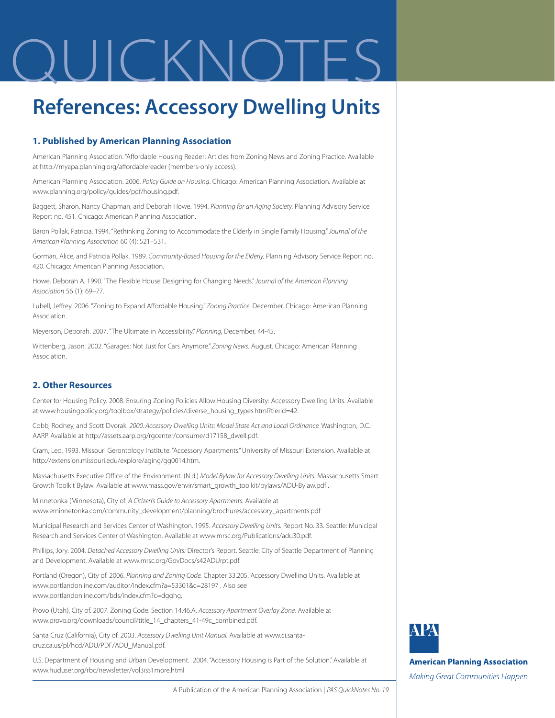## OUICKNOTES

### **References: Accessory Dwelling Units**

### **1. Published by American Planning Association**

American Planning Association. "Affordable Housing Reader: Articles from Zoning News and Zoning Practice. Available at http://myapa.planning.org/affordablereader (members-only access).

American Planning Association. 2006. *Policy Guide on Housing*. Chicago: American Planning Association. Available at www.planning.org/policy/guides/pdf/housing.pdf.

Baggett, Sharon, Nancy Chapman, and Deborah Howe. 1994. *Planning for an Aging Society.* Planning Advisory Service Report no. 451. Chicago: American Planning Association.

Baron Pollak, Patricia. 1994. "Rethinking Zoning to Accommodate the Elderly in Single Family Housing."*Journal of the American Planning Association* 60 (4): 521–531.

Gorman, Alice, and Patricia Pollak. 1989. *Community-Based Housing for the Elderly.* Planning Advisory Service Report no. 420. Chicago: American Planning Association.

Howe, Deborah A. 1990. "The Flexible House Designing for Changing Needs."*Journal of the American Planning Association* 56 (1): 69–77.

Lubell, Jeffrey. 2006. "Zoning to Expand Affordable Housing." *Zoning Practice*. December. Chicago: American Planning Association.

Meyerson, Deborah. 2007. "The Ultimate in Accessibility." *Planning*, December, 44-45.

Wittenberg, Jason. 2002. "Garages: Not Just for Cars Anymore." *Zoning News*. August. Chicago: American Planning Association.

### **2. Other Resources**

Center for Housing Policy. 2008. Ensuring Zoning Policies Allow Housing Diversity: Accessory Dwelling Units. Available at www.housingpolicy.org/toolbox/strategy/policies/diverse\_housing\_types.html?tierid=42.

Cobb, Rodney, and Scott Dvorak. *2000. Accessory Dwelling Units: Model State Act and Local Ordinance.* Washington, D.C.: AARP. Available at http://assets.aarp.org/rgcenter/consume/d17158\_dwell.pdf.

Cram, Leo. 1993. Missouri Gerontology Institute. "Accessory Apartments." University of Missouri Extension. Available at http://extension.missouri.edu/explore/aging/gg0014.htm.

Massachusetts Executive Office of the Environment. (N.d.) *Model Bylaw for Accessory Dwelling Units.* Massachusetts Smart Growth Toolkit Bylaw. Available at www.mass.gov/envir/smart\_growth\_toolkit/bylaws/ADU-Bylaw.pdf .

Minnetonka (Minnesota), City of. *A Citizen's Guide to Accessory Apartments.* Available at www.eminnetonka.com/community\_development/planning/brochures/accessory\_apartments.pdf

Municipal Research and Services Center of Washington. 1995. *Accessory Dwelling Units.* Report No. 33. Seattle: Municipal Research and Services Center of Washington. Available at www.mrsc.org/Publications/adu30.pdf.

Phillips, Jory. 2004. *Detached Accessory Dwelling Units:* Director's Report. Seattle: City of Seattle Department of Planning and Development. Available at www.mrsc.org/GovDocs/s42ADUrpt.pdf.

Portland (Oregon), City of. 2006. *Planning and Zoning Code.* Chapter 33.205. Accessory Dwelling Units. Available at www.portlandonline.com/auditor/index.cfm?a=53301&c=28197 . Also see www.portlandonline.com/bds/index.cfm?c=dgghg.

Provo (Utah), City of. 2007. Zoning Code. Section 14.46.A. *Accessory Apartment Overlay Zone.* Available at www.provo.org/downloads/council/title\_14\_chapters\_41-49c\_combined.pdf.

Santa Cruz (California), City of. 2003. *Accessory Dwelling Unit Manual.* Available at www.ci.santacruz.ca.us/pl/hcd/ADU/PDF/ADU\_Manual.pdf.

U.S. Department of Housing and Urban Development. 2004. "Accessory Housing is Part of the Solution." Available at www.huduser.org/rbc/newsletter/vol3iss1more.html



**American Planning Association** 

Making Great Communities Happen

A Publication of the American Planning Association | *PAS QuickNotes No. 19*